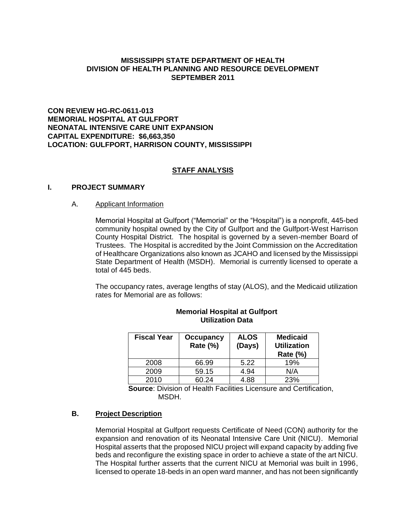# **MISSISSIPPI STATE DEPARTMENT OF HEALTH DIVISION OF HEALTH PLANNING AND RESOURCE DEVELOPMENT SEPTEMBER 2011**

# **CON REVIEW HG-RC-0611-013 MEMORIAL HOSPITAL AT GULFPORT NEONATAL INTENSIVE CARE UNIT EXPANSION CAPITAL EXPENDITURE: \$6,663,350 LOCATION: GULFPORT, HARRISON COUNTY, MISSISSIPPI**

## **STAFF ANALYSIS**

## **I. PROJECT SUMMARY**

#### A. Applicant Information

Memorial Hospital at Gulfport ("Memorial" or the "Hospital") is a nonprofit, 445-bed community hospital owned by the City of Gulfport and the Gulfport-West Harrison County Hospital District. The hospital is governed by a seven-member Board of Trustees. The Hospital is accredited by the Joint Commission on the Accreditation of Healthcare Organizations also known as JCAHO and licensed by the Mississippi State Department of Health (MSDH). Memorial is currently licensed to operate a total of 445 beds.

The occupancy rates, average lengths of stay (ALOS), and the Medicaid utilization rates for Memorial are as follows:

| <b>Fiscal Year</b> | <b>Occupancy</b><br>Rate (%) | <b>ALOS</b><br>(Days) | <b>Medicaid</b><br><b>Utilization</b><br>Rate $(\%)$ |  |
|--------------------|------------------------------|-----------------------|------------------------------------------------------|--|
| 2008               | 66.99                        | 5.22                  | 19%                                                  |  |
| 2009               | 59.15                        | 4.94                  | N/A                                                  |  |
| 2010               | 60.24                        | 4.88                  | 23%                                                  |  |

## **Memorial Hospital at Gulfport Utilization Data**

**Source**: Division of Health Facilities Licensure and Certification, MSDH.

## **B. Project Description**

Memorial Hospital at Gulfport requests Certificate of Need (CON) authority for the expansion and renovation of its Neonatal Intensive Care Unit (NICU). Memorial Hospital asserts that the proposed NICU project will expand capacity by adding five beds and reconfigure the existing space in order to achieve a state of the art NICU. The Hospital further asserts that the current NICU at Memorial was built in 1996, licensed to operate 18-beds in an open ward manner, and has not been significantly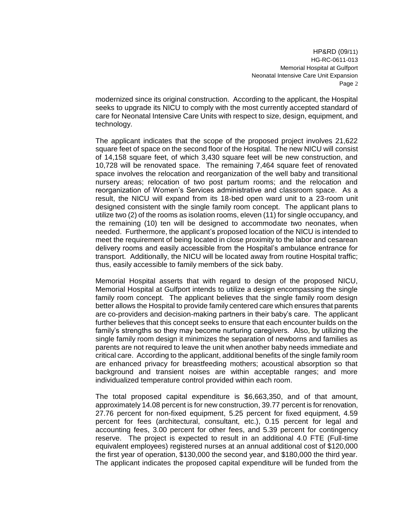modernized since its original construction. According to the applicant, the Hospital seeks to upgrade its NICU to comply with the most currently accepted standard of care for Neonatal Intensive Care Units with respect to size, design, equipment, and technology.

The applicant indicates that the scope of the proposed project involves 21,622 square feet of space on the second floor of the Hospital. The new NICU will consist of 14,158 square feet, of which 3,430 square feet will be new construction, and 10,728 will be renovated space. The remaining 7,464 square feet of renovated space involves the relocation and reorganization of the well baby and transitional nursery areas; relocation of two post partum rooms; and the relocation and reorganization of Women's Services administrative and classroom space. As a result, the NICU will expand from its 18-bed open ward unit to a 23-room unit designed consistent with the single family room concept. The applicant plans to utilize two (2) of the rooms as isolation rooms, eleven (11) for single occupancy, and the remaining (10) ten will be designed to accommodate two neonates, when needed. Furthermore, the applicant's proposed location of the NICU is intended to meet the requirement of being located in close proximity to the labor and cesarean delivery rooms and easily accessible from the Hospital's ambulance entrance for transport. Additionally, the NICU will be located away from routine Hospital traffic; thus, easily accessible to family members of the sick baby.

Memorial Hospital asserts that with regard to design of the proposed NICU, Memorial Hospital at Gulfport intends to utilize a design encompassing the single family room concept. The applicant believes that the single family room design better allows the Hospital to provide family centered care which ensures that parents are co-providers and decision-making partners in their baby's care. The applicant further believes that this concept seeks to ensure that each encounter builds on the family's strengths so they may become nurturing caregivers. Also, by utilizing the single family room design it minimizes the separation of newborns and families as parents are not required to leave the unit when another baby needs immediate and critical care. According to the applicant, additional benefits of the single family room are enhanced privacy for breastfeeding mothers; acoustical absorption so that background and transient noises are within acceptable ranges; and more individualized temperature control provided within each room.

The total proposed capital expenditure is \$6,663,350, and of that amount, approximately 14.08 percent is for new construction, 39.77 percent is for renovation, 27.76 percent for non-fixed equipment, 5.25 percent for fixed equipment, 4.59 percent for fees (architectural, consultant, etc.), 0.15 percent for legal and accounting fees, 3.00 percent for other fees, and 5.39 percent for contingency reserve. The project is expected to result in an additional 4.0 FTE (Full-time equivalent employees) registered nurses at an annual additional cost of \$120,000 the first year of operation, \$130,000 the second year, and \$180,000 the third year. The applicant indicates the proposed capital expenditure will be funded from the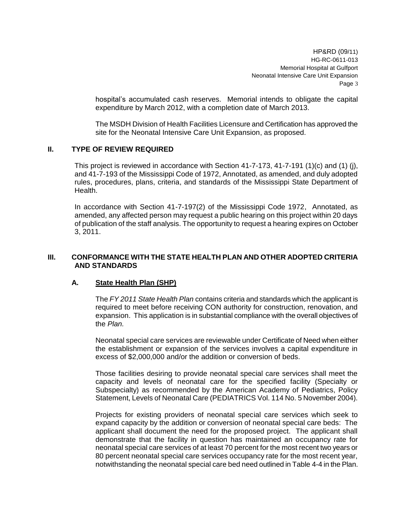hospital's accumulated cash reserves. Memorial intends to obligate the capital expenditure by March 2012, with a completion date of March 2013.

The MSDH Division of Health Facilities Licensure and Certification has approved the site for the Neonatal Intensive Care Unit Expansion, as proposed.

## **II. TYPE OF REVIEW REQUIRED**

This project is reviewed in accordance with Section 41-7-173, 41-7-191 (1)(c) and (1) (j), and 41-7-193 of the Mississippi Code of 1972, Annotated, as amended, and duly adopted rules, procedures, plans, criteria, and standards of the Mississippi State Department of Health.

In accordance with Section 41-7-197(2) of the Mississippi Code 1972, Annotated, as amended, any affected person may request a public hearing on this project within 20 days of publication of the staff analysis. The opportunity to request a hearing expires on October 3, 2011.

# **III. CONFORMANCE WITH THE STATE HEALTH PLAN AND OTHER ADOPTED CRITERIA AND STANDARDS**

# **A. State Health Plan (SHP)**

The *FY 2011 State Health Plan* contains criteria and standards which the applicant is required to meet before receiving CON authority for construction, renovation, and expansion. This application is in substantial compliance with the overall objectives of the *Plan.*

Neonatal special care services are reviewable under Certificate of Need when either the establishment or expansion of the services involves a capital expenditure in excess of \$2,000,000 and/or the addition or conversion of beds.

Those facilities desiring to provide neonatal special care services shall meet the capacity and levels of neonatal care for the specified facility (Specialty or Subspecialty) as recommended by the American Academy of Pediatrics, Policy Statement, Levels of Neonatal Care (PEDIATRICS Vol. 114 No. 5 November 2004).

Projects for existing providers of neonatal special care services which seek to expand capacity by the addition or conversion of neonatal special care beds: The applicant shall document the need for the proposed project. The applicant shall demonstrate that the facility in question has maintained an occupancy rate for neonatal special care services of at least 70 percent for the most recent two years or 80 percent neonatal special care services occupancy rate for the most recent year, notwithstanding the neonatal special care bed need outlined in Table 4-4 in the Plan.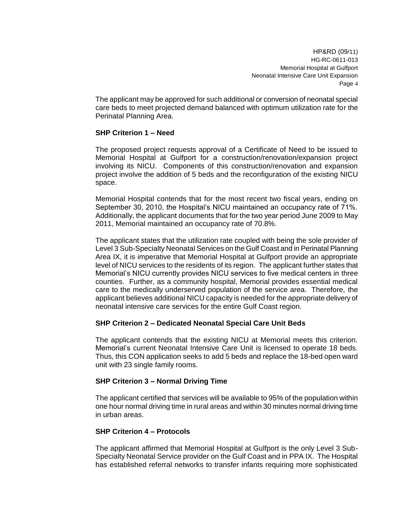The applicant may be approved for such additional or conversion of neonatal special care beds to meet projected demand balanced with optimum utilization rate for the Perinatal Planning Area.

## **SHP Criterion 1 – Need**

The proposed project requests approval of a Certificate of Need to be issued to Memorial Hospital at Gulfport for a construction/renovation/expansion project involving its NICU. Components of this construction/renovation and expansion project involve the addition of 5 beds and the reconfiguration of the existing NICU space.

Memorial Hospital contends that for the most recent two fiscal years, ending on September 30, 2010, the Hospital's NICU maintained an occupancy rate of 71%. Additionally, the applicant documents that for the two year period June 2009 to May 2011, Memorial maintained an occupancy rate of 70.8%.

The applicant states that the utilization rate coupled with being the sole provider of Level 3 Sub-Specialty Neonatal Services on the Gulf Coast and in Perinatal Planning Area IX, it is imperative that Memorial Hospital at Gulfport provide an appropriate level of NICU services to the residents of its region. The applicant further states that Memorial's NICU currently provides NICU services to five medical centers in three counties. Further, as a community hospital, Memorial provides essential medical care to the medically underserved population of the service area. Therefore, the applicant believes additional NICU capacity is needed for the appropriate delivery of neonatal intensive care services for the entire Gulf Coast region.

#### **SHP Criterion 2 – Dedicated Neonatal Special Care Unit Beds**

The applicant contends that the existing NICU at Memorial meets this criterion. Memorial's current Neonatal Intensive Care Unit is licensed to operate 18 beds. Thus, this CON application seeks to add 5 beds and replace the 18-bed open ward unit with 23 single family rooms.

## **SHP Criterion 3 – Normal Driving Time**

The applicant certified that services will be available to 95% of the population within one hour normal driving time in rural areas and within 30 minutes normal driving time in urban areas.

#### **SHP Criterion 4 – Protocols**

The applicant affirmed that Memorial Hospital at Gulfport is the only Level 3 Sub-Specialty Neonatal Service provider on the Gulf Coast and in PPA IX. The Hospital has established referral networks to transfer infants requiring more sophisticated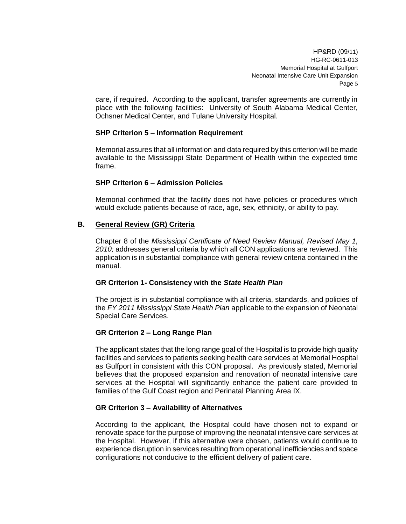care, if required. According to the applicant, transfer agreements are currently in place with the following facilities: University of South Alabama Medical Center, Ochsner Medical Center, and Tulane University Hospital.

## **SHP Criterion 5 – Information Requirement**

Memorial assures that all information and data required by this criterion will be made available to the Mississippi State Department of Health within the expected time frame.

## **SHP Criterion 6 – Admission Policies**

Memorial confirmed that the facility does not have policies or procedures which would exclude patients because of race, age, sex, ethnicity, or ability to pay.

#### **B. General Review (GR) Criteria**

Chapter 8 of the *Mississippi Certificate of Need Review Manual, Revised May 1, 2010;* addresses general criteria by which all CON applications are reviewed. This application is in substantial compliance with general review criteria contained in the manual.

#### **GR Criterion 1- Consistency with the** *State Health Plan*

The project is in substantial compliance with all criteria, standards, and policies of the *FY 2011 Mississippi State Health Plan* applicable to the expansion of Neonatal Special Care Services.

# **GR Criterion 2 – Long Range Plan**

The applicant states that the long range goal of the Hospital is to provide high quality facilities and services to patients seeking health care services at Memorial Hospital as Gulfport in consistent with this CON proposal. As previously stated, Memorial believes that the proposed expansion and renovation of neonatal intensive care services at the Hospital will significantly enhance the patient care provided to families of the Gulf Coast region and Perinatal Planning Area IX.

#### **GR Criterion 3 – Availability of Alternatives**

According to the applicant, the Hospital could have chosen not to expand or renovate space for the purpose of improving the neonatal intensive care services at the Hospital. However, if this alternative were chosen, patients would continue to experience disruption in services resulting from operational inefficiencies and space configurations not conducive to the efficient delivery of patient care.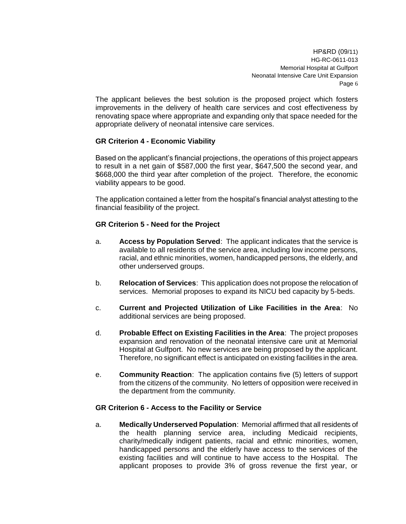The applicant believes the best solution is the proposed project which fosters improvements in the delivery of health care services and cost effectiveness by renovating space where appropriate and expanding only that space needed for the appropriate delivery of neonatal intensive care services.

# **GR Criterion 4 - Economic Viability**

Based on the applicant's financial projections, the operations of this project appears to result in a net gain of \$587,000 the first year, \$647,500 the second year, and \$668,000 the third year after completion of the project. Therefore, the economic viability appears to be good.

The application contained a letter from the hospital's financial analyst attesting to the financial feasibility of the project.

## **GR Criterion 5 - Need for the Project**

- a. **Access by Population Served**: The applicant indicates that the service is available to all residents of the service area, including low income persons, racial, and ethnic minorities, women, handicapped persons, the elderly, and other underserved groups.
- b. **Relocation of Services**: This application does not propose the relocation of services. Memorial proposes to expand its NICU bed capacity by 5-beds.
- c. **Current and Projected Utilization of Like Facilities in the Area**: No additional services are being proposed.
- d. **Probable Effect on Existing Facilities in the Area**: The project proposes expansion and renovation of the neonatal intensive care unit at Memorial Hospital at Gulfport. No new services are being proposed by the applicant. Therefore, no significant effect is anticipated on existing facilities in the area.
- e. **Community Reaction**: The application contains five (5) letters of support from the citizens of the community. No letters of opposition were received in the department from the community.

## **GR Criterion 6 - Access to the Facility or Service**

a. **Medically Underserved Population**: Memorial affirmed that all residents of the health planning service area, including Medicaid recipients, charity/medically indigent patients, racial and ethnic minorities, women, handicapped persons and the elderly have access to the services of the existing facilities and will continue to have access to the Hospital. The applicant proposes to provide 3% of gross revenue the first year, or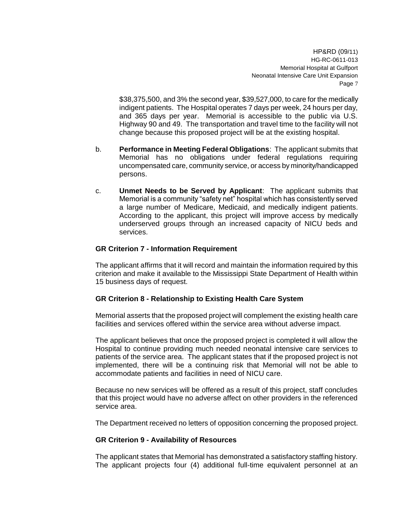\$38,375,500, and 3% the second year, \$39,527,000, to care for the medically indigent patients. The Hospital operates 7 days per week, 24 hours per day, and 365 days per year. Memorial is accessible to the public via U.S. Highway 90 and 49. The transportation and travel time to the facility will not change because this proposed project will be at the existing hospital.

- b. **Performance in Meeting Federal Obligations**: The applicant submits that Memorial has no obligations under federal regulations requiring uncompensated care, community service, or access by minority/handicapped persons.
- c. **Unmet Needs to be Served by Applicant**: The applicant submits that Memorial is a community "safety net" hospital which has consistently served a large number of Medicare, Medicaid, and medically indigent patients. According to the applicant, this project will improve access by medically underserved groups through an increased capacity of NICU beds and services.

## **GR Criterion 7 - Information Requirement**

The applicant affirms that it will record and maintain the information required by this criterion and make it available to the Mississippi State Department of Health within 15 business days of request.

# **GR Criterion 8 - Relationship to Existing Health Care System**

Memorial asserts that the proposed project will complement the existing health care facilities and services offered within the service area without adverse impact.

The applicant believes that once the proposed project is completed it will allow the Hospital to continue providing much needed neonatal intensive care services to patients of the service area. The applicant states that if the proposed project is not implemented, there will be a continuing risk that Memorial will not be able to accommodate patients and facilities in need of NICU care.

Because no new services will be offered as a result of this project, staff concludes that this project would have no adverse affect on other providers in the referenced service area.

The Department received no letters of opposition concerning the proposed project.

## **GR Criterion 9 - Availability of Resources**

The applicant states that Memorial has demonstrated a satisfactory staffing history. The applicant projects four (4) additional full-time equivalent personnel at an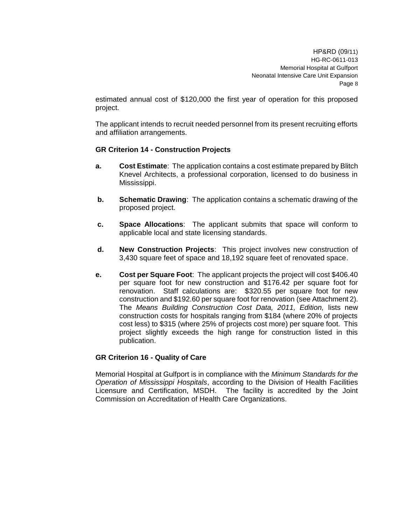estimated annual cost of \$120,000 the first year of operation for this proposed project.

The applicant intends to recruit needed personnel from its present recruiting efforts and affiliation arrangements.

## **GR Criterion 14 - Construction Projects**

- **a. Cost Estimate**: The application contains a cost estimate prepared by Blitch Knevel Architects, a professional corporation, licensed to do business in Mississippi.
- **b. Schematic Drawing**: The application contains a schematic drawing of the proposed project.
- **c. Space Allocations**: The applicant submits that space will conform to applicable local and state licensing standards.
- **d. New Construction Projects**: This project involves new construction of 3,430 square feet of space and 18,192 square feet of renovated space.
- **e. Cost per Square Foot**: The applicant projects the project will cost \$406.40 per square foot for new construction and \$176.42 per square foot for renovation. Staff calculations are: \$320.55 per square foot for new construction and \$192.60 per square foot for renovation (see Attachment 2). The *Means Building Construction Cost Data, 2011, Edition,* lists new construction costs for hospitals ranging from \$184 (where 20% of projects cost less) to \$315 (where 25% of projects cost more) per square foot. This project slightly exceeds the high range for construction listed in this publication.

# **GR Criterion 16 - Quality of Care**

Memorial Hospital at Gulfport is in compliance with the *Minimum Standards for the Operation of Mississippi Hospitals*, according to the Division of Health Facilities Licensure and Certification, MSDH. The facility is accredited by the Joint Commission on Accreditation of Health Care Organizations.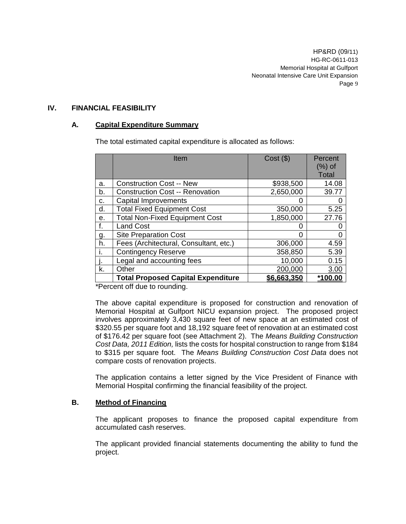## **IV. FINANCIAL FEASIBILITY**

# **A. Capital Expenditure Summary**

The total estimated capital expenditure is allocated as follows:

|    | Item                                      | $Cost($ \$) | Percent      |
|----|-------------------------------------------|-------------|--------------|
|    |                                           |             | $(\%)$ of    |
|    |                                           |             | <b>Total</b> |
| a. | <b>Construction Cost -- New</b>           | \$938,500   | 14.08        |
| b. | <b>Construction Cost -- Renovation</b>    | 2,650,000   | 39.77        |
| c. | Capital Improvements                      |             |              |
| d. | <b>Total Fixed Equipment Cost</b>         | 350,000     | 5.25         |
| е. | <b>Total Non-Fixed Equipment Cost</b>     | 1,850,000   | 27.76        |
| f. | <b>Land Cost</b>                          | 0           | O            |
| g. | <b>Site Preparation Cost</b>              |             |              |
| h. | Fees (Architectural, Consultant, etc.)    | 306,000     | 4.59         |
| i. | <b>Contingency Reserve</b>                | 358,850     | 5.39         |
|    | Legal and accounting fees                 | 10,000      | 0.15         |
| k. | Other                                     | 200,000     | 3.00         |
|    | <b>Total Proposed Capital Expenditure</b> | \$6,663,350 | *100.00      |

\*Percent off due to rounding.

The above capital expenditure is proposed for construction and renovation of Memorial Hospital at Gulfport NICU expansion project. The proposed project involves approximately 3,430 square feet of new space at an estimated cost of \$320.55 per square foot and 18,192 square feet of renovation at an estimated cost of \$176.42 per square foot (see Attachment 2). The *Means Building Construction Cost Data, 2011 Edition,* lists the costs for hospital construction to range from \$184 to \$315 per square foot. The *Means Building Construction Cost Data* does not compare costs of renovation projects.

The application contains a letter signed by the Vice President of Finance with Memorial Hospital confirming the financial feasibility of the project.

# **B. Method of Financing**

The applicant proposes to finance the proposed capital expenditure from accumulated cash reserves.

The applicant provided financial statements documenting the ability to fund the project.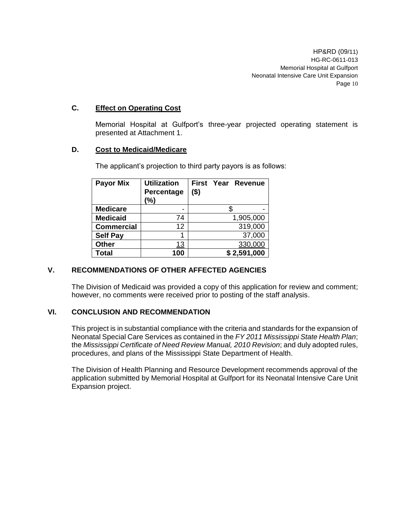# **C. Effect on Operating Cost**

Memorial Hospital at Gulfport's three-year projected operating statement is presented at Attachment 1.

# **D. Cost to Medicaid/Medicare**

| <b>Payor Mix</b>  | <b>Utilization</b><br>Percentage<br>(%) | <b>First Year Revenue</b><br>$($ \$) |
|-------------------|-----------------------------------------|--------------------------------------|
| <b>Medicare</b>   |                                         |                                      |
| <b>Medicaid</b>   | 74                                      | 1,905,000                            |
| <b>Commercial</b> | 12                                      | 319,000                              |
| <b>Self Pay</b>   |                                         | 37,000                               |
| <b>Other</b>      | 13                                      | 330,000                              |
| <b>Total</b>      | 100                                     | \$2,591,000                          |

The applicant's projection to third party payors is as follows:

# **V. RECOMMENDATIONS OF OTHER AFFECTED AGENCIES**

The Division of Medicaid was provided a copy of this application for review and comment; however, no comments were received prior to posting of the staff analysis.

# **VI. CONCLUSION AND RECOMMENDATION**

This project is in substantial compliance with the criteria and standards for the expansion of Neonatal Special Care Services as contained in the *FY 2011 Mississippi State Health Plan*; the *Mississippi Certificate of Need Review Manual, 2010 Revision*; and duly adopted rules, procedures, and plans of the Mississippi State Department of Health.

The Division of Health Planning and Resource Development recommends approval of the application submitted by Memorial Hospital at Gulfport for its Neonatal Intensive Care Unit Expansion project.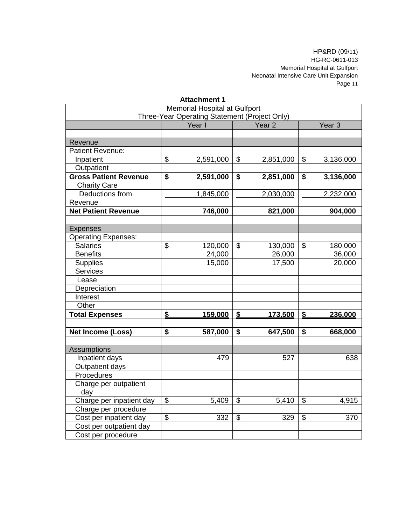| <b>Attachment 1</b>           |                                                                              |           |                           |           |                       |           |
|-------------------------------|------------------------------------------------------------------------------|-----------|---------------------------|-----------|-----------------------|-----------|
| Memorial Hospital at Gulfport |                                                                              |           |                           |           |                       |           |
|                               | Three-Year Operating Statement (Project Only)<br>Year <sub>2</sub><br>Year I |           | Year <sub>3</sub>         |           |                       |           |
|                               |                                                                              |           |                           |           |                       |           |
| Revenue                       |                                                                              |           |                           |           |                       |           |
| Patient Revenue:              |                                                                              |           |                           |           |                       |           |
| Inpatient                     | \$                                                                           | 2,591,000 | \$                        | 2,851,000 | \$                    | 3,136,000 |
| Outpatient                    |                                                                              |           |                           |           |                       |           |
| <b>Gross Patient Revenue</b>  | \$                                                                           | 2,591,000 | \$                        | 2,851,000 | \$                    | 3,136,000 |
| <b>Charity Care</b>           |                                                                              |           |                           |           |                       |           |
| Deductions from               |                                                                              | 1,845,000 |                           | 2,030,000 |                       | 2,232,000 |
| Revenue                       |                                                                              |           |                           |           |                       |           |
| <b>Net Patient Revenue</b>    |                                                                              | 746,000   |                           | 821,000   |                       | 904,000   |
|                               |                                                                              |           |                           |           |                       |           |
| <b>Expenses</b>               |                                                                              |           |                           |           |                       |           |
| <b>Operating Expenses:</b>    |                                                                              |           |                           |           |                       |           |
| <b>Salaries</b>               | \$                                                                           | 120,000   | \$                        | 130,000   | \$                    | 180,000   |
| <b>Benefits</b>               |                                                                              | 24,000    |                           | 26,000    |                       | 36,000    |
| Supplies                      |                                                                              | 15,000    |                           | 17,500    |                       | 20,000    |
| <b>Services</b>               |                                                                              |           |                           |           |                       |           |
| Lease                         |                                                                              |           |                           |           |                       |           |
| Depreciation                  |                                                                              |           |                           |           |                       |           |
| Interest                      |                                                                              |           |                           |           |                       |           |
| Other                         |                                                                              |           |                           |           |                       |           |
| <b>Total Expenses</b>         | \$                                                                           | 159,000   | $\boldsymbol{\mathsf{S}}$ | 173,500   | $\mathbf{\mathsf{S}}$ | 236,000   |
| <b>Net Income (Loss)</b>      | \$                                                                           | 587,000   | \$                        | 647,500   | \$                    | 668,000   |
|                               |                                                                              |           |                           |           |                       |           |
| <b>Assumptions</b>            |                                                                              |           |                           |           |                       |           |
| Inpatient days                |                                                                              | 479       |                           | 527       |                       | 638       |
| Outpatient days               |                                                                              |           |                           |           |                       |           |
| Procedures                    |                                                                              |           |                           |           |                       |           |
| Charge per outpatient         |                                                                              |           |                           |           |                       |           |
| day                           |                                                                              |           |                           |           |                       |           |
| Charge per inpatient day      | \$                                                                           | 5,409     | $\mathfrak{S}$            | 5,410     | \$                    | 4,915     |
| Charge per procedure          |                                                                              |           |                           |           |                       |           |
| Cost per inpatient day        | \$                                                                           | 332       | \$                        | 329       | \$                    | 370       |
| Cost per outpatient day       |                                                                              |           |                           |           |                       |           |
| Cost per procedure            |                                                                              |           |                           |           |                       |           |